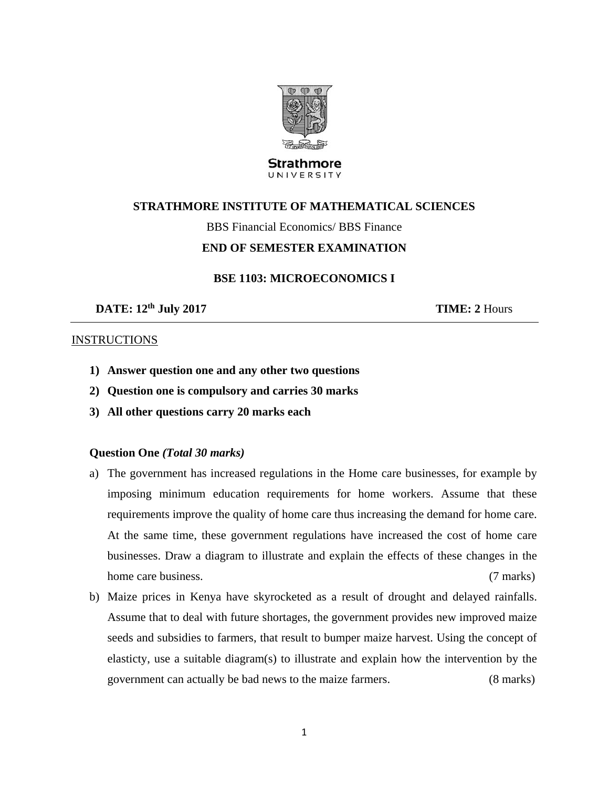

#### **Strathmore** UNIVERSITY

# **STRATHMORE INSTITUTE OF MATHEMATICAL SCIENCES**

BBS Financial Economics/ BBS Finance

## **END OF SEMESTER EXAMINATION**

### **BSE 1103: MICROECONOMICS I**

**DATE:**  $12^{\text{th}}$  July 2017 **TIME:** 2 Hours

### **INSTRUCTIONS**

- **1) Answer question one and any other two questions**
- **2) Question one is compulsory and carries 30 marks**
- **3) All other questions carry 20 marks each**

## **Question One** *(Total 30 marks)*

- a) The government has increased regulations in the Home care businesses, for example by imposing minimum education requirements for home workers. Assume that these requirements improve the quality of home care thus increasing the demand for home care. At the same time, these government regulations have increased the cost of home care businesses. Draw a diagram to illustrate and explain the effects of these changes in the home care business. (7 marks)
- b) Maize prices in Kenya have skyrocketed as a result of drought and delayed rainfalls. Assume that to deal with future shortages, the government provides new improved maize seeds and subsidies to farmers, that result to bumper maize harvest. Using the concept of elasticty, use a suitable diagram(s) to illustrate and explain how the intervention by the government can actually be bad news to the maize farmers. (8 marks)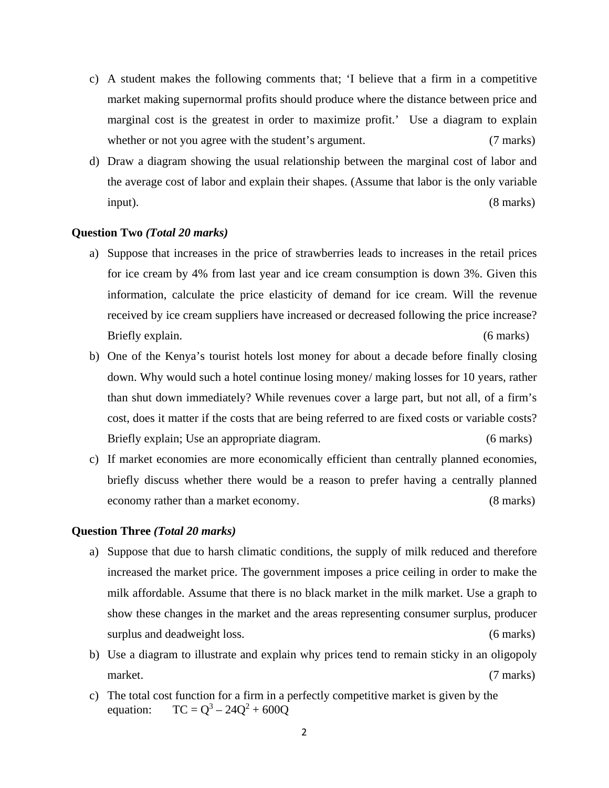- c) A student makes the following comments that; 'I believe that a firm in a competitive market making supernormal profits should produce where the distance between price and marginal cost is the greatest in order to maximize profit.' Use a diagram to explain whether or not you agree with the student's argument. (7 marks)
- d) Draw a diagram showing the usual relationship between the marginal cost of labor and the average cost of labor and explain their shapes. (Assume that labor is the only variable input). (8 marks)

#### **Question Two** *(Total 20 marks)*

- a) Suppose that increases in the price of strawberries leads to increases in the retail prices for ice cream by 4% from last year and ice cream consumption is down 3%. Given this information, calculate the price elasticity of demand for ice cream. Will the revenue received by ice cream suppliers have increased or decreased following the price increase? Briefly explain. (6 marks) (6 marks)
- b) One of the Kenya's tourist hotels lost money for about a decade before finally closing down. Why would such a hotel continue losing money/ making losses for 10 years, rather than shut down immediately? While revenues cover a large part, but not all, of a firm's cost, does it matter if the costs that are being referred to are fixed costs or variable costs? Briefly explain; Use an appropriate diagram. (6 marks)
- c) If market economies are more economically efficient than centrally planned economies, briefly discuss whether there would be a reason to prefer having a centrally planned economy rather than a market economy. (8 marks)

#### **Question Three** *(Total 20 marks)*

- a) Suppose that due to harsh climatic conditions, the supply of milk reduced and therefore increased the market price. The government imposes a price ceiling in order to make the milk affordable. Assume that there is no black market in the milk market. Use a graph to show these changes in the market and the areas representing consumer surplus, producer surplus and deadweight loss. (6 marks)
- b) Use a diagram to illustrate and explain why prices tend to remain sticky in an oligopoly market. (7 marks)
- c) The total cost function for a firm in a perfectly competitive market is given by the equation:  $TC = Q^3 - 24Q^2 + 600Q$